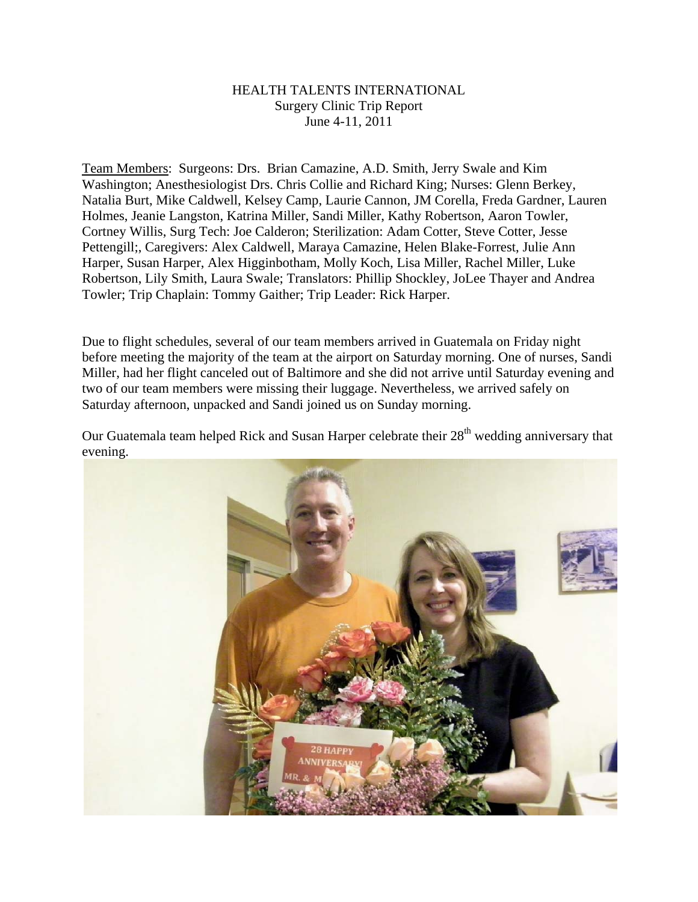## HEALTH TALENTS INTERNATIONAL Surgery Clinic Trip Report June 4-11, 2011

Team Members: Surgeons: Drs. Brian Camazine, A.D. Smith, Jerry Swale and Kim Washington; Anesthesiologist Drs. Chris Collie and Richard King; Nurses: Glenn Berkey, Natalia Burt, Mike Caldwell, Kelsey Camp, Laurie Cannon, JM Corella, Freda Gardner, Lauren Holmes, Jeanie Langston, Katrina Miller, Sandi Miller, Kathy Robertson, Aaron Towler, Cortney Willis, Surg Tech: Joe Calderon; Sterilization: Adam Cotter, Steve Cotter, Jesse Pettengill;, Caregivers: Alex Caldwell, Maraya Camazine, Helen Blake-Forrest, Julie Ann Harper, Susan Harper, Alex Higginbotham, Molly Koch, Lisa Miller, Rachel Miller, Luke Robertson, Lily Smith, Laura Swale; Translators: Phillip Shockley, JoLee Thayer and Andrea Towler; Trip Chaplain: Tommy Gaither; Trip Leader: Rick Harper.

Due to flight schedules, several of our team members arrived in Guatemala on Friday night before meeting the majority of the team at the airport on Saturday morning. One of nurses, Sandi Miller, had her flight canceled out of Baltimore and she did not arrive until Saturday evening and two of our team members were missing their luggage. Nevertheless, we arrived safely on Saturday afternoon, unpacked and Sandi joined us on Sunday morning.

Our Guatemala team helped Rick and Susan Harper celebrate their 28<sup>th</sup> wedding anniversary that evening.

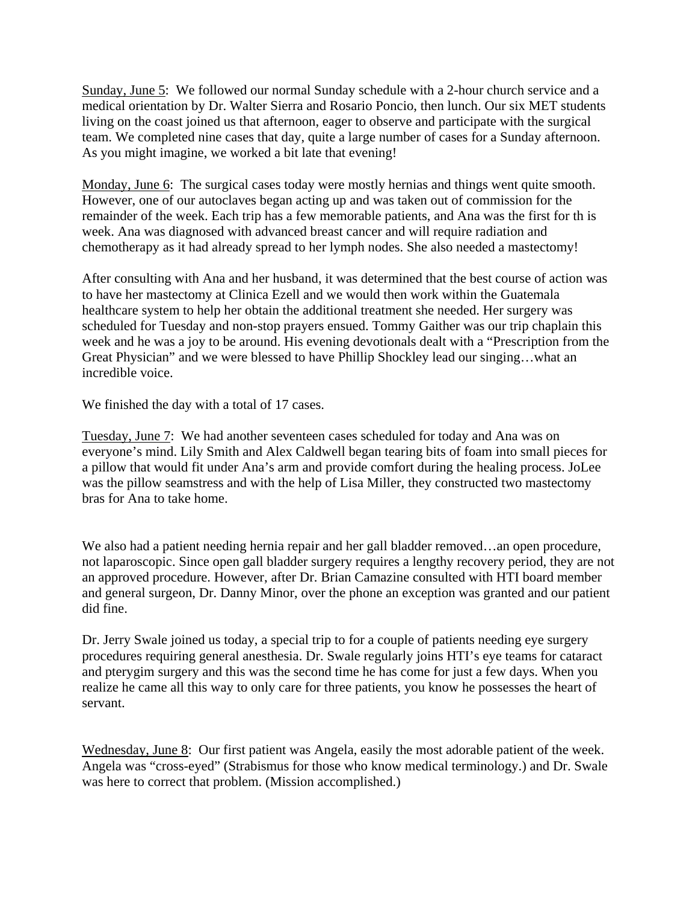Sunday, June 5: We followed our normal Sunday schedule with a 2-hour church service and a medical orientation by Dr. Walter Sierra and Rosario Poncio, then lunch. Our six MET students living on the coast joined us that afternoon, eager to observe and participate with the surgical team. We completed nine cases that day, quite a large number of cases for a Sunday afternoon. As you might imagine, we worked a bit late that evening!

Monday, June 6: The surgical cases today were mostly hernias and things went quite smooth. However, one of our autoclaves began acting up and was taken out of commission for the remainder of the week. Each trip has a few memorable patients, and Ana was the first for th is week. Ana was diagnosed with advanced breast cancer and will require radiation and chemotherapy as it had already spread to her lymph nodes. She also needed a mastectomy!

After consulting with Ana and her husband, it was determined that the best course of action was to have her mastectomy at Clinica Ezell and we would then work within the Guatemala healthcare system to help her obtain the additional treatment she needed. Her surgery was scheduled for Tuesday and non-stop prayers ensued. Tommy Gaither was our trip chaplain this week and he was a joy to be around. His evening devotionals dealt with a "Prescription from the Great Physician" and we were blessed to have Phillip Shockley lead our singing…what an incredible voice.

We finished the day with a total of 17 cases.

Tuesday, June 7: We had another seventeen cases scheduled for today and Ana was on everyone's mind. Lily Smith and Alex Caldwell began tearing bits of foam into small pieces for a pillow that would fit under Ana's arm and provide comfort during the healing process. JoLee was the pillow seamstress and with the help of Lisa Miller, they constructed two mastectomy bras for Ana to take home.

We also had a patient needing hernia repair and her gall bladder removed...an open procedure, not laparoscopic. Since open gall bladder surgery requires a lengthy recovery period, they are not an approved procedure. However, after Dr. Brian Camazine consulted with HTI board member and general surgeon, Dr. Danny Minor, over the phone an exception was granted and our patient did fine.

Dr. Jerry Swale joined us today, a special trip to for a couple of patients needing eye surgery procedures requiring general anesthesia. Dr. Swale regularly joins HTI's eye teams for cataract and pterygim surgery and this was the second time he has come for just a few days. When you realize he came all this way to only care for three patients, you know he possesses the heart of servant.

Wednesday, June 8: Our first patient was Angela, easily the most adorable patient of the week. Angela was "cross-eyed" (Strabismus for those who know medical terminology.) and Dr. Swale was here to correct that problem. (Mission accomplished.)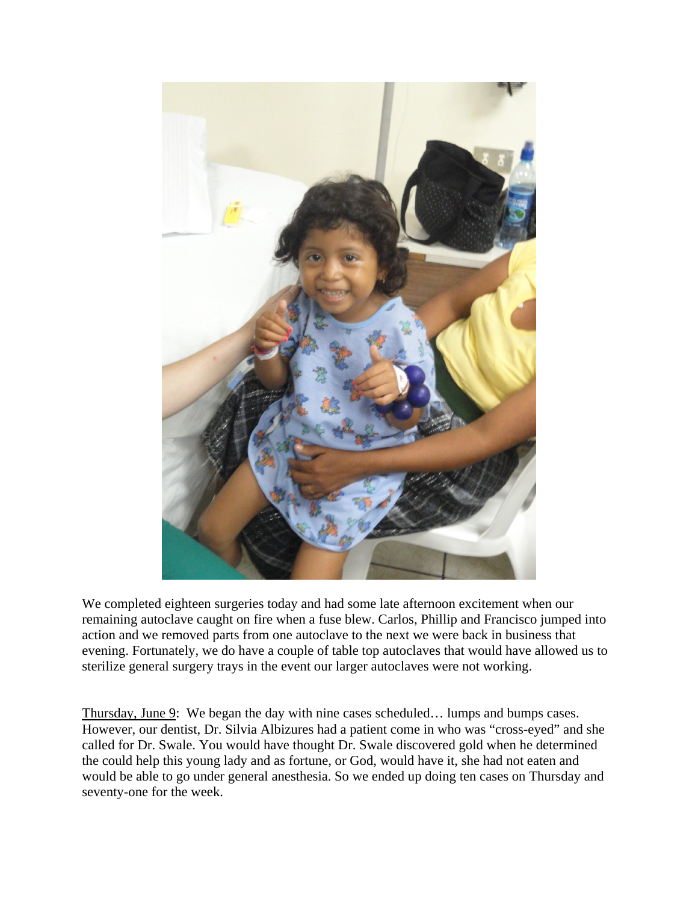

We completed eighteen surgeries today and had some late afternoon excitement when our remaining autoclave caught on fire when a fuse blew. Carlos, Phillip and Francisco jumped into action and we removed parts from one autoclave to the next we were back in business that evening. Fortunately, we do have a couple of table top autoclaves that would have allowed us to sterilize general surgery trays in the event our larger autoclaves were not working.

Thursday, June 9: We began the day with nine cases scheduled… lumps and bumps cases. However, our dentist, Dr. Silvia Albizures had a patient come in who was "cross-eyed" and she called for Dr. Swale. You would have thought Dr. Swale discovered gold when he determined the could help this young lady and as fortune, or God, would have it, she had not eaten and would be able to go under general anesthesia. So we ended up doing ten cases on Thursday and seventy-one for the week.